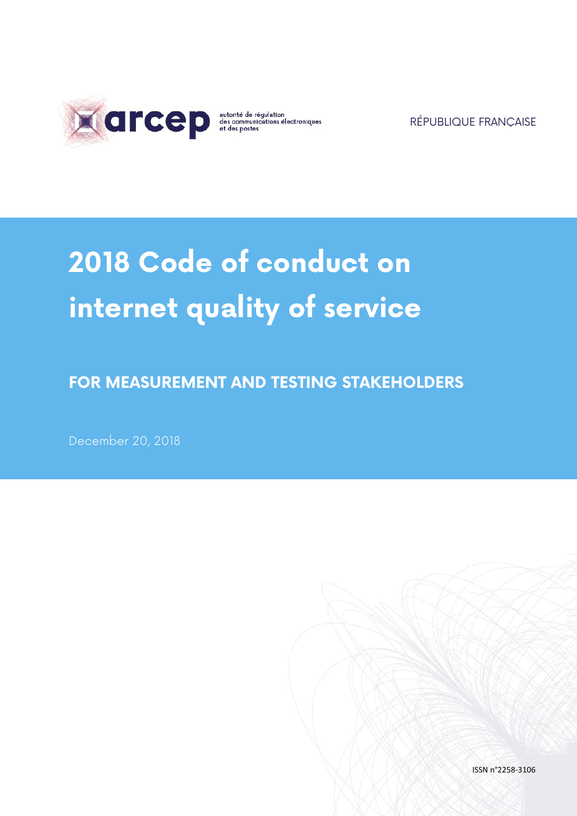

RÉPUBLIQUE FRANÇAISE

# **2018 Code of conduct on internet quality of service**

**FOR MEASUREMENT AND TESTING STAKEHOLDERS**

December 20, 2018

ISSN n°2258-3106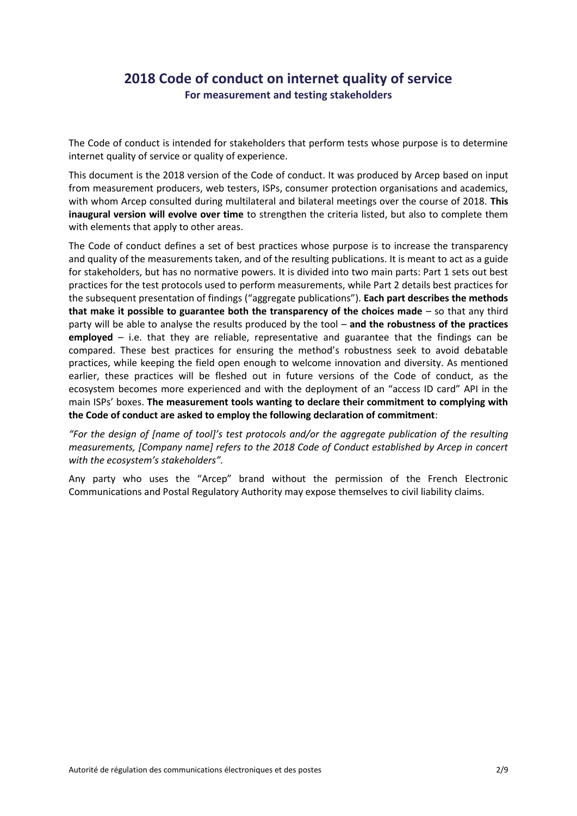# **2018 Code of conduct on internet quality of service For measurement and testing stakeholders**

The Code of conduct is intended for stakeholders that perform tests whose purpose is to determine internet quality of service or quality of experience.

This document is the 2018 version of the Code of conduct. It was produced by Arcep based on input from measurement producers, web testers, ISPs, consumer protection organisations and academics, with whom Arcep consulted during multilateral and bilateral meetings over the course of 2018. **This inaugural version will evolve over time** to strengthen the criteria listed, but also to complete them with elements that apply to other areas.

The Code of conduct defines a set of best practices whose purpose is to increase the transparency and quality of the measurements taken, and of the resulting publications. It is meant to act as a guide for stakeholders, but has no normative powers. It is divided into two main parts: Part 1 sets out best practices for the test protocols used to perform measurements, while Part 2 details best practices for the subsequent presentation of findings ("aggregate publications"). **Each part describes the methods that make it possible to guarantee both the transparency of the choices made** – so that any third party will be able to analyse the results produced by the tool – **and the robustness of the practices employed** – i.e. that they are reliable, representative and guarantee that the findings can be compared. These best practices for ensuring the method's robustness seek to avoid debatable practices, while keeping the field open enough to welcome innovation and diversity. As mentioned earlier, these practices will be fleshed out in future versions of the Code of conduct, as the ecosystem becomes more experienced and with the deployment of an "access ID card" API in the main ISPs' boxes. **The measurement tools wanting to declare their commitment to complying with the Code of conduct are asked to employ the following declaration of commitment**:

*"For the design of [name of tool]'s test protocols and/or the aggregate publication of the resulting measurements, [Company name] refers to the 2018 Code of Conduct established by Arcep in concert with the ecosystem's stakeholders".*

Any party who uses the "Arcep" brand without the permission of the French Electronic Communications and Postal Regulatory Authority may expose themselves to civil liability claims.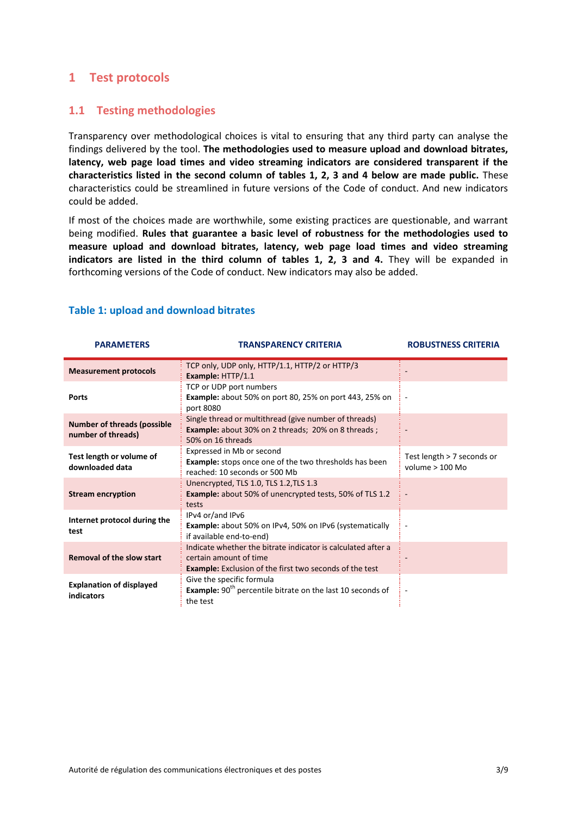## **1 Test protocols**

## **1.1 Testing methodologies**

Transparency over methodological choices is vital to ensuring that any third party can analyse the findings delivered by the tool. **The methodologies used to measure upload and download bitrates, latency, web page load times and video streaming indicators are considered transparent if the characteristics listed in the second column of tables 1, 2, 3 and 4 below are made public.** These characteristics could be streamlined in future versions of the Code of conduct. And new indicators could be added.

If most of the choices made are worthwhile, some existing practices are questionable, and warrant being modified. **Rules that guarantee a basic level of robustness for the methodologies used to measure upload and download bitrates, latency, web page load times and video streaming**  indicators are listed in the third column of tables 1, 2, 3 and 4. They will be expanded in forthcoming versions of the Code of conduct. New indicators may also be added.

| <b>PARAMETERS</b>                                        | <b>TRANSPARENCY CRITERIA</b>                                                                                                                             | <b>ROBUSTNESS CRITERIA</b>                      |
|----------------------------------------------------------|----------------------------------------------------------------------------------------------------------------------------------------------------------|-------------------------------------------------|
| <b>Measurement protocols</b>                             | TCP only, UDP only, HTTP/1.1, HTTP/2 or HTTP/3<br>Example: HTTP/1.1                                                                                      |                                                 |
| <b>Ports</b>                                             | TCP or UDP port numbers<br><b>Example:</b> about 50% on port 80, 25% on port 443, 25% on<br>port 8080                                                    |                                                 |
| <b>Number of threads (possible</b><br>number of threads) | Single thread or multithread (give number of threads)<br><b>Example:</b> about 30% on 2 threads; 20% on 8 threads;<br>50% on 16 threads                  |                                                 |
| Test length or volume of<br>downloaded data              | Expressed in Mb or second<br><b>Example:</b> stops once one of the two thresholds has been<br>reached: 10 seconds or 500 Mb                              | Test length > 7 seconds or<br>volume $> 100$ Mo |
| <b>Stream encryption</b>                                 | Unencrypted, TLS 1.0, TLS 1.2, TLS 1.3<br><b>Example:</b> about 50% of unencrypted tests, 50% of TLS 1.2<br>tests                                        |                                                 |
| Internet protocol during the<br>test                     | IPv4 or/and IPv6<br><b>Example:</b> about 50% on IPv4, 50% on IPv6 (systematically<br>if available end-to-end)                                           |                                                 |
| <b>Removal of the slow start</b>                         | Indicate whether the bitrate indicator is calculated after a<br>certain amount of time<br><b>Example:</b> Exclusion of the first two seconds of the test |                                                 |
| <b>Explanation of displayed</b><br>indicators            | Give the specific formula<br>Example: 90 <sup>th</sup> percentile bitrate on the last 10 seconds of<br>the test                                          |                                                 |

#### **Table 1: upload and download bitrates**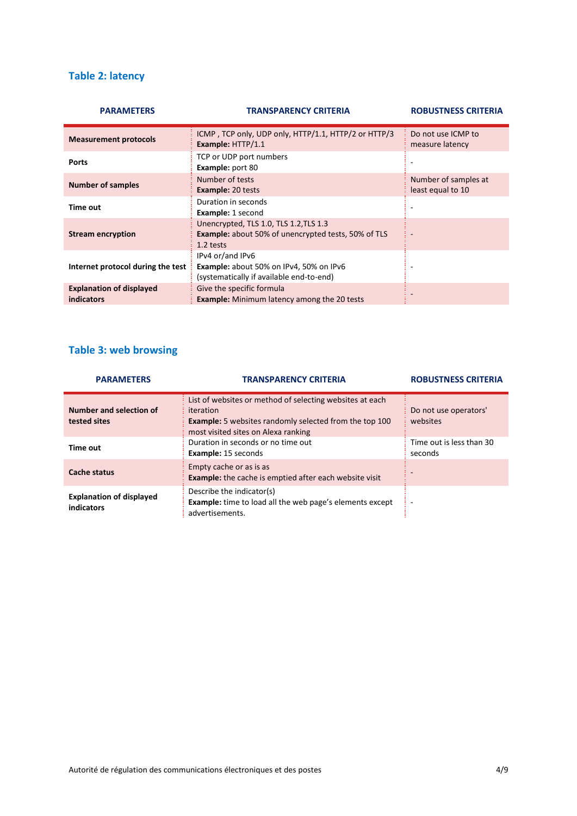## **Table 2: latency**

| <b>PARAMETERS</b>                                    | <b>TRANSPARENCY CRITERIA</b>                                                                                      | <b>ROBUSTNESS CRITERIA</b>                |
|------------------------------------------------------|-------------------------------------------------------------------------------------------------------------------|-------------------------------------------|
| <b>Measurement protocols</b>                         | ICMP, TCP only, UDP only, HTTP/1.1, HTTP/2 or HTTP/3<br>Example: HTTP/1.1                                         | Do not use ICMP to<br>measure latency     |
| <b>Ports</b>                                         | TCP or UDP port numbers<br><b>Example: port 80</b>                                                                | $\overline{\phantom{a}}$                  |
| <b>Number of samples</b>                             | Number of tests<br><b>Example: 20 tests</b>                                                                       | Number of samples at<br>least equal to 10 |
| Time out                                             | Duration in seconds<br>Example: 1 second                                                                          |                                           |
| <b>Stream encryption</b>                             | Unencrypted, TLS 1.0, TLS 1.2, TLS 1.3<br><b>Example:</b> about 50% of unencrypted tests, 50% of TLS<br>1.2 tests |                                           |
| Internet protocol during the test                    | IPv4 or/and IPv6<br>Example: about 50% on IPv4, 50% on IPv6<br>(systematically if available end-to-end)           | $\overline{\phantom{a}}$                  |
| <b>Explanation of displayed</b><br><b>indicators</b> | Give the specific formula<br><b>Example:</b> Minimum latency among the 20 tests                                   |                                           |

## **Table 3: web browsing**

| <b>PARAMETERS</b>                             | <b>TRANSPARENCY CRITERIA</b>                                                                                                                                                  | <b>ROBUSTNESS CRITERIA</b>          |
|-----------------------------------------------|-------------------------------------------------------------------------------------------------------------------------------------------------------------------------------|-------------------------------------|
| Number and selection of<br>tested sites       | List of websites or method of selecting websites at each<br>iteration<br><b>Example:</b> 5 websites randomly selected from the top 100<br>most visited sites on Alexa ranking | Do not use operators'<br>websites   |
| Time out                                      | Duration in seconds or no time out<br><b>Example: 15 seconds</b>                                                                                                              | Time out is less than 30<br>seconds |
| <b>Cache status</b>                           | Empty cache or as is as<br><b>Example:</b> the cache is emptied after each website visit                                                                                      |                                     |
| <b>Explanation of displayed</b><br>indicators | Describe the indicator(s)<br><b>Example:</b> time to load all the web page's elements except<br>advertisements.                                                               | ٠                                   |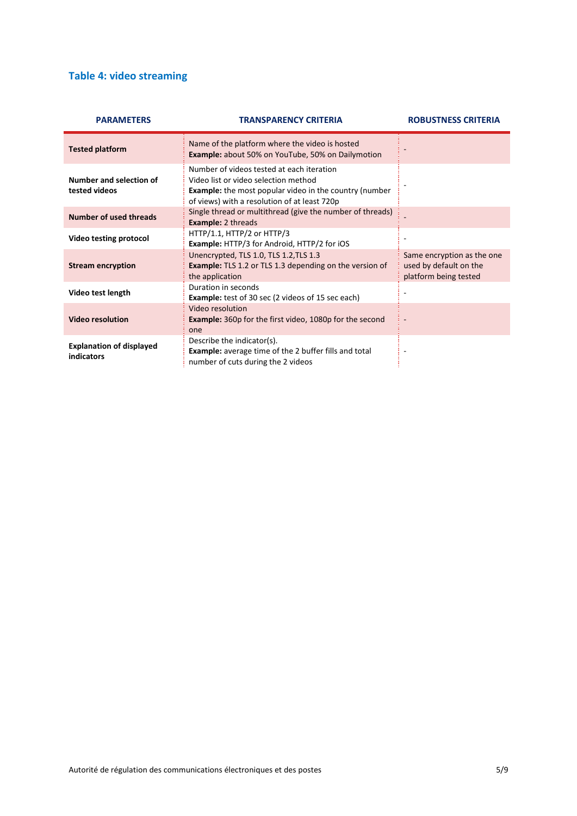# **Table 4: video streaming**

| <b>PARAMETERS</b>                             | <b>TRANSPARENCY CRITERIA</b>                                                                                                                                                                       | <b>ROBUSTNESS CRITERIA</b>                                                    |
|-----------------------------------------------|----------------------------------------------------------------------------------------------------------------------------------------------------------------------------------------------------|-------------------------------------------------------------------------------|
| <b>Tested platform</b>                        | Name of the platform where the video is hosted<br><b>Example:</b> about 50% on YouTube, 50% on Dailymotion                                                                                         |                                                                               |
| Number and selection of<br>tested videos      | Number of videos tested at each iteration<br>Video list or video selection method<br><b>Example:</b> the most popular video in the country (number<br>of views) with a resolution of at least 720p |                                                                               |
| <b>Number of used threads</b>                 | Single thread or multithread (give the number of threads)<br><b>Example: 2 threads</b>                                                                                                             |                                                                               |
| Video testing protocol                        | HTTP/1.1, HTTP/2 or HTTP/3<br><b>Example: HTTP/3 for Android, HTTP/2 for iOS</b>                                                                                                                   |                                                                               |
| <b>Stream encryption</b>                      | Unencrypted, TLS 1.0, TLS 1.2, TLS 1.3<br><b>Example:</b> TLS 1.2 or TLS 1.3 depending on the version of<br>the application                                                                        | Same encryption as the one<br>used by default on the<br>platform being tested |
| Video test length                             | Duration in seconds<br><b>Example:</b> test of 30 sec (2 videos of 15 sec each)                                                                                                                    |                                                                               |
| <b>Video resolution</b>                       | Video resolution<br>Example: 360p for the first video, 1080p for the second<br>one                                                                                                                 |                                                                               |
| <b>Explanation of displayed</b><br>indicators | Describe the indicator(s).<br><b>Example:</b> average time of the 2 buffer fills and total<br>number of cuts during the 2 videos                                                                   |                                                                               |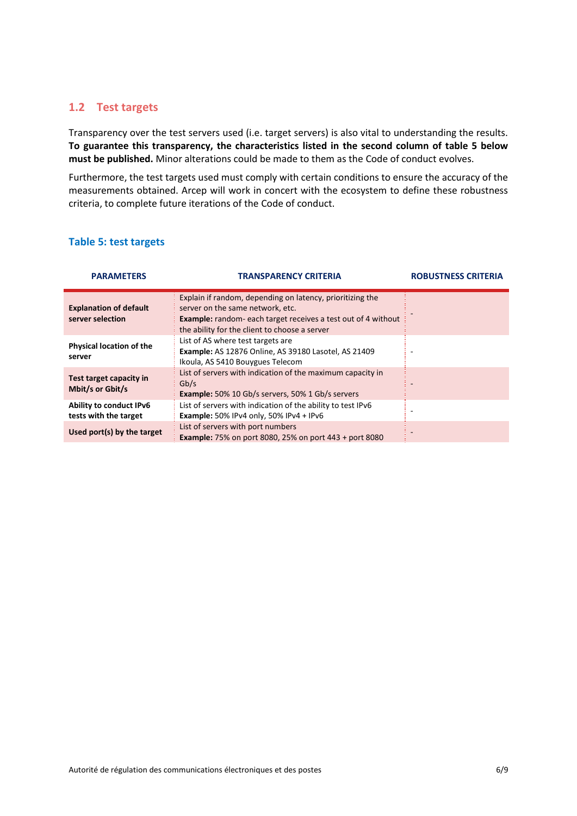## **1.2 Test targets**

Transparency over the test servers used (i.e. target servers) is also vital to understanding the results. **To guarantee this transparency, the characteristics listed in the second column of table 5 below must be published.** Minor alterations could be made to them as the Code of conduct evolves.

Furthermore, the test targets used must comply with certain conditions to ensure the accuracy of the measurements obtained. Arcep will work in concert with the ecosystem to define these robustness criteria, to complete future iterations of the Code of conduct.

### **Table 5: test targets**

| <b>PARAMETERS</b>                                 | TRANSPARENCY CRITERIA                                                                                                                                                                                                 | <b>ROBUSTNESS CRITERIA</b> |
|---------------------------------------------------|-----------------------------------------------------------------------------------------------------------------------------------------------------------------------------------------------------------------------|----------------------------|
| <b>Explanation of default</b><br>server selection | Explain if random, depending on latency, prioritizing the<br>server on the same network, etc.<br><b>Example:</b> random-each target receives a test out of 4 without<br>the ability for the client to choose a server |                            |
| <b>Physical location of the</b><br>server         | List of AS where test targets are<br><b>Example:</b> AS 12876 Online, AS 39180 Lasotel, AS 21409<br>Ikoula, AS 5410 Bouygues Telecom                                                                                  |                            |
| Test target capacity in<br>Mbit/s or Gbit/s       | List of servers with indication of the maximum capacity in<br>Gb/s<br><b>Example:</b> 50% 10 Gb/s servers, 50% 1 Gb/s servers                                                                                         |                            |
| Ability to conduct IPv6<br>tests with the target  | List of servers with indication of the ability to test IPv6<br>Example: $50\%$ IPv4 only, $50\%$ IPv4 + IPv6                                                                                                          |                            |
| Used port(s) by the target                        | List of servers with port numbers<br><b>Example:</b> 75% on port 8080, 25% on port 443 + port 8080                                                                                                                    |                            |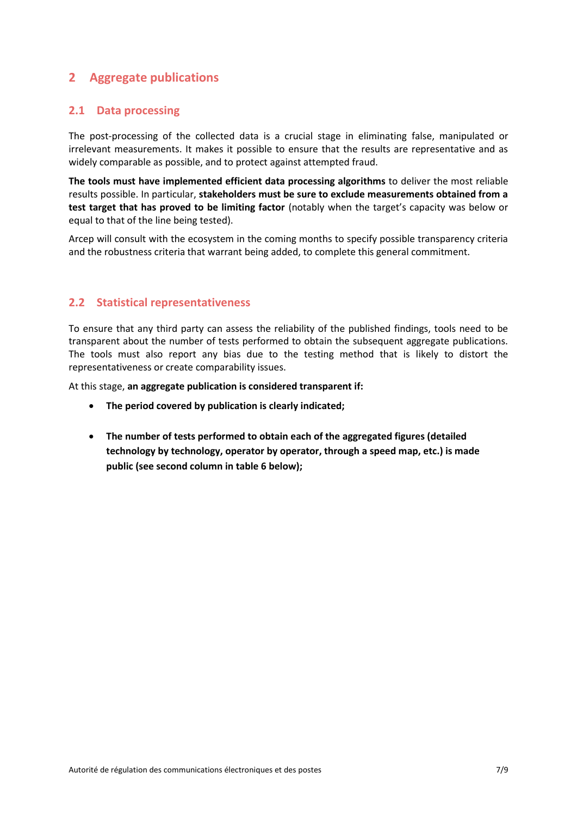# **2 Aggregate publications**

## **2.1 Data processing**

The post-processing of the collected data is a crucial stage in eliminating false, manipulated or irrelevant measurements. It makes it possible to ensure that the results are representative and as widely comparable as possible, and to protect against attempted fraud.

**The tools must have implemented efficient data processing algorithms** to deliver the most reliable results possible. In particular, **stakeholders must be sure to exclude measurements obtained from a test target that has proved to be limiting factor** (notably when the target's capacity was below or equal to that of the line being tested).

Arcep will consult with the ecosystem in the coming months to specify possible transparency criteria and the robustness criteria that warrant being added, to complete this general commitment.

## **2.2 Statistical representativeness**

To ensure that any third party can assess the reliability of the published findings, tools need to be transparent about the number of tests performed to obtain the subsequent aggregate publications. The tools must also report any bias due to the testing method that is likely to distort the representativeness or create comparability issues.

At this stage, **an aggregate publication is considered transparent if:**

- **The period covered by publication is clearly indicated;**
- **The number of tests performed to obtain each of the aggregated figures (detailed technology by technology, operator by operator, through a speed map, etc.) is made public (see second column in table 6 below);**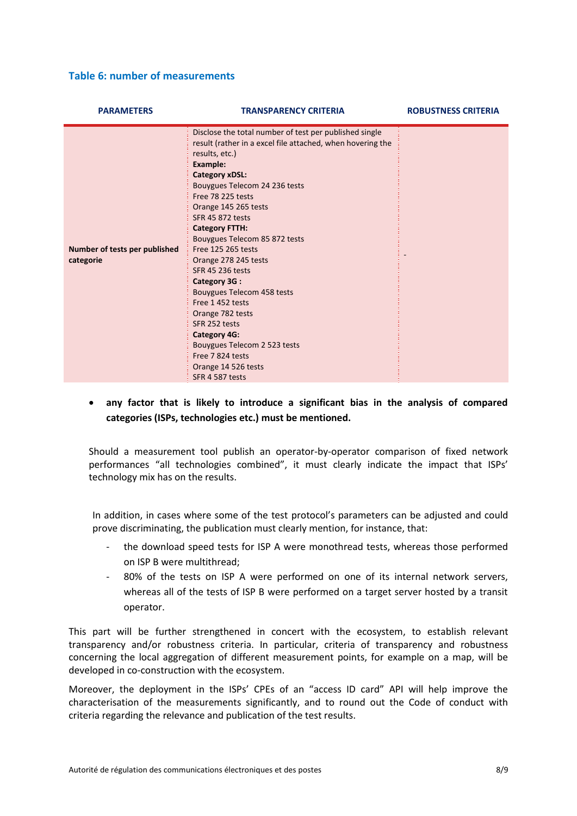#### **Table 6: number of measurements**

| <b>PARAMETERS</b>                          | <b>TRANSPARENCY CRITERIA</b>                                                                                                                                                                                                                                                                                                                                                                                                                                                                                                                                                                                                               | <b>ROBUSTNESS CRITERIA</b> |
|--------------------------------------------|--------------------------------------------------------------------------------------------------------------------------------------------------------------------------------------------------------------------------------------------------------------------------------------------------------------------------------------------------------------------------------------------------------------------------------------------------------------------------------------------------------------------------------------------------------------------------------------------------------------------------------------------|----------------------------|
| Number of tests per published<br>categorie | Disclose the total number of test per published single<br>result (rather in a excel file attached, when hovering the<br>results, etc.)<br><b>Example:</b><br><b>Category xDSL:</b><br>Bouygues Telecom 24 236 tests<br>Free 78 225 tests<br>Orange 145 265 tests<br>SFR 45 872 tests<br><b>Category FTTH:</b><br>Bouygues Telecom 85 872 tests<br>Free 125 265 tests<br>Orange 278 245 tests<br>SFR 45 236 tests<br>Category 3G:<br>Bouygues Telecom 458 tests<br>Free 1452 tests<br>Orange 782 tests<br>SFR 252 tests<br><b>Category 4G:</b><br>Bouygues Telecom 2 523 tests<br>Free 7824 tests<br>Orange 14 526 tests<br>SFR 4 587 tests |                            |

 **any factor that is likely to introduce a significant bias in the analysis of compared categories (ISPs, technologies etc.) must be mentioned.**

Should a measurement tool publish an operator-by-operator comparison of fixed network performances "all technologies combined", it must clearly indicate the impact that ISPs' technology mix has on the results.

In addition, in cases where some of the test protocol's parameters can be adjusted and could prove discriminating, the publication must clearly mention, for instance, that:

- the download speed tests for ISP A were monothread tests, whereas those performed on ISP B were multithread;
- 80% of the tests on ISP A were performed on one of its internal network servers, whereas all of the tests of ISP B were performed on a target server hosted by a transit operator.

This part will be further strengthened in concert with the ecosystem, to establish relevant transparency and/or robustness criteria. In particular, criteria of transparency and robustness concerning the local aggregation of different measurement points, for example on a map, will be developed in co-construction with the ecosystem.

Moreover, the deployment in the ISPs' CPEs of an "access ID card" API will help improve the characterisation of the measurements significantly, and to round out the Code of conduct with criteria regarding the relevance and publication of the test results.